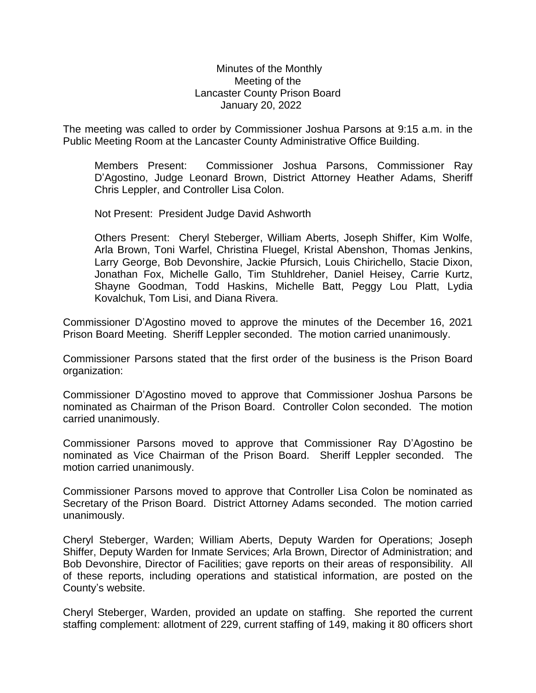## Minutes of the Monthly Meeting of the Lancaster County Prison Board January 20, 2022

The meeting was called to order by Commissioner Joshua Parsons at 9:15 a.m. in the Public Meeting Room at the Lancaster County Administrative Office Building.

Members Present: Commissioner Joshua Parsons, Commissioner Ray D'Agostino, Judge Leonard Brown, District Attorney Heather Adams, Sheriff Chris Leppler, and Controller Lisa Colon.

Not Present: President Judge David Ashworth

Others Present: Cheryl Steberger, William Aberts, Joseph Shiffer, Kim Wolfe, Arla Brown, Toni Warfel, Christina Fluegel, Kristal Abenshon, Thomas Jenkins, Larry George, Bob Devonshire, Jackie Pfursich, Louis Chirichello, Stacie Dixon, Jonathan Fox, Michelle Gallo, Tim Stuhldreher, Daniel Heisey, Carrie Kurtz, Shayne Goodman, Todd Haskins, Michelle Batt, Peggy Lou Platt, Lydia Kovalchuk, Tom Lisi, and Diana Rivera.

Commissioner D'Agostino moved to approve the minutes of the December 16, 2021 Prison Board Meeting. Sheriff Leppler seconded. The motion carried unanimously.

Commissioner Parsons stated that the first order of the business is the Prison Board organization:

Commissioner D'Agostino moved to approve that Commissioner Joshua Parsons be nominated as Chairman of the Prison Board. Controller Colon seconded. The motion carried unanimously.

Commissioner Parsons moved to approve that Commissioner Ray D'Agostino be nominated as Vice Chairman of the Prison Board. Sheriff Leppler seconded. The motion carried unanimously.

Commissioner Parsons moved to approve that Controller Lisa Colon be nominated as Secretary of the Prison Board. District Attorney Adams seconded. The motion carried unanimously.

Cheryl Steberger, Warden; William Aberts, Deputy Warden for Operations; Joseph Shiffer, Deputy Warden for Inmate Services; Arla Brown, Director of Administration; and Bob Devonshire, Director of Facilities; gave reports on their areas of responsibility. All of these reports, including operations and statistical information, are posted on the County's website.

Cheryl Steberger, Warden, provided an update on staffing. She reported the current staffing complement: allotment of 229, current staffing of 149, making it 80 officers short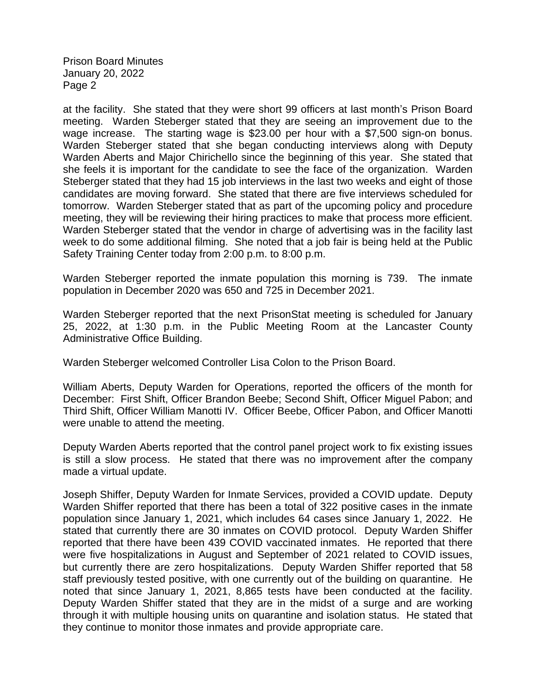at the facility. She stated that they were short 99 officers at last month's Prison Board meeting. Warden Steberger stated that they are seeing an improvement due to the wage increase. The starting wage is \$23.00 per hour with a \$7,500 sign-on bonus. Warden Steberger stated that she began conducting interviews along with Deputy Warden Aberts and Major Chirichello since the beginning of this year. She stated that she feels it is important for the candidate to see the face of the organization. Warden Steberger stated that they had 15 job interviews in the last two weeks and eight of those candidates are moving forward. She stated that there are five interviews scheduled for tomorrow. Warden Steberger stated that as part of the upcoming policy and procedure meeting, they will be reviewing their hiring practices to make that process more efficient. Warden Steberger stated that the vendor in charge of advertising was in the facility last week to do some additional filming. She noted that a job fair is being held at the Public Safety Training Center today from 2:00 p.m. to 8:00 p.m.

Warden Steberger reported the inmate population this morning is 739. The inmate population in December 2020 was 650 and 725 in December 2021.

Warden Steberger reported that the next PrisonStat meeting is scheduled for January 25, 2022, at 1:30 p.m. in the Public Meeting Room at the Lancaster County Administrative Office Building.

Warden Steberger welcomed Controller Lisa Colon to the Prison Board.

William Aberts, Deputy Warden for Operations, reported the officers of the month for December: First Shift, Officer Brandon Beebe; Second Shift, Officer Miguel Pabon; and Third Shift, Officer William Manotti IV. Officer Beebe, Officer Pabon, and Officer Manotti were unable to attend the meeting.

Deputy Warden Aberts reported that the control panel project work to fix existing issues is still a slow process. He stated that there was no improvement after the company made a virtual update.

Joseph Shiffer, Deputy Warden for Inmate Services, provided a COVID update. Deputy Warden Shiffer reported that there has been a total of 322 positive cases in the inmate population since January 1, 2021, which includes 64 cases since January 1, 2022. He stated that currently there are 30 inmates on COVID protocol. Deputy Warden Shiffer reported that there have been 439 COVID vaccinated inmates. He reported that there were five hospitalizations in August and September of 2021 related to COVID issues, but currently there are zero hospitalizations. Deputy Warden Shiffer reported that 58 staff previously tested positive, with one currently out of the building on quarantine. He noted that since January 1, 2021, 8,865 tests have been conducted at the facility. Deputy Warden Shiffer stated that they are in the midst of a surge and are working through it with multiple housing units on quarantine and isolation status. He stated that they continue to monitor those inmates and provide appropriate care.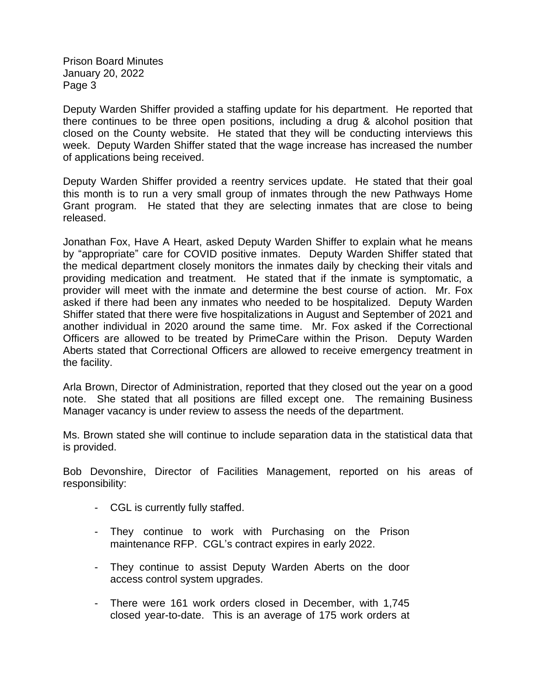Deputy Warden Shiffer provided a staffing update for his department. He reported that there continues to be three open positions, including a drug & alcohol position that closed on the County website. He stated that they will be conducting interviews this week. Deputy Warden Shiffer stated that the wage increase has increased the number of applications being received.

Deputy Warden Shiffer provided a reentry services update. He stated that their goal this month is to run a very small group of inmates through the new Pathways Home Grant program. He stated that they are selecting inmates that are close to being released.

Jonathan Fox, Have A Heart, asked Deputy Warden Shiffer to explain what he means by "appropriate" care for COVID positive inmates. Deputy Warden Shiffer stated that the medical department closely monitors the inmates daily by checking their vitals and providing medication and treatment. He stated that if the inmate is symptomatic, a provider will meet with the inmate and determine the best course of action. Mr. Fox asked if there had been any inmates who needed to be hospitalized. Deputy Warden Shiffer stated that there were five hospitalizations in August and September of 2021 and another individual in 2020 around the same time. Mr. Fox asked if the Correctional Officers are allowed to be treated by PrimeCare within the Prison. Deputy Warden Aberts stated that Correctional Officers are allowed to receive emergency treatment in the facility.

Arla Brown, Director of Administration, reported that they closed out the year on a good note. She stated that all positions are filled except one. The remaining Business Manager vacancy is under review to assess the needs of the department.

Ms. Brown stated she will continue to include separation data in the statistical data that is provided.

Bob Devonshire, Director of Facilities Management, reported on his areas of responsibility:

- CGL is currently fully staffed.
- They continue to work with Purchasing on the Prison maintenance RFP. CGL's contract expires in early 2022.
- They continue to assist Deputy Warden Aberts on the door access control system upgrades.
- There were 161 work orders closed in December, with 1,745 closed year-to-date. This is an average of 175 work orders at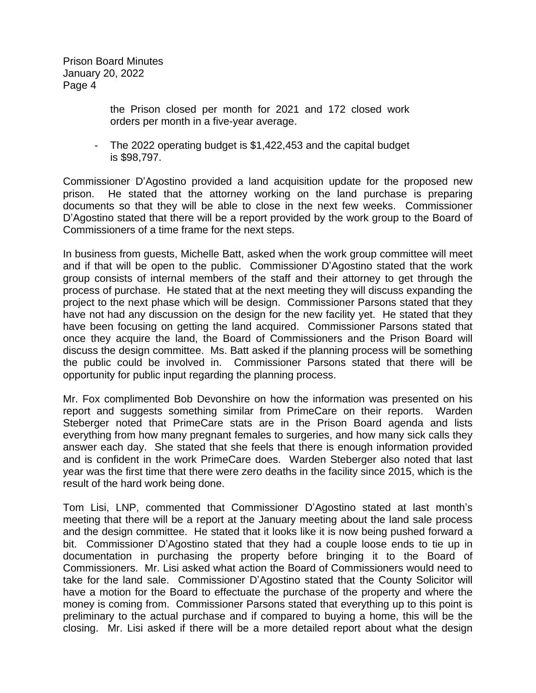> the Prison closed per month for 2021 and 172 closed work orders per month in a five-year average.

- The 2022 operating budget is \$1,422,453 and the capital budget is \$98,797.

Commissioner D'Agostino provided a land acquisition update for the proposed new prison. He stated that the attorney working on the land purchase is preparing documents so that they will be able to close in the next few weeks. Commissioner D'Agostino stated that there will be a report provided by the work group to the Board of Commissioners of a time frame for the next steps.

In business from guests, Michelle Batt, asked when the work group committee will meet and if that will be open to the public. Commissioner D'Agostino stated that the work group consists of internal members of the staff and their attorney to get through the process of purchase. He stated that at the next meeting they will discuss expanding the project to the next phase which will be design. Commissioner Parsons stated that they have not had any discussion on the design for the new facility yet. He stated that they have been focusing on getting the land acquired. Commissioner Parsons stated that once they acquire the land, the Board of Commissioners and the Prison Board will discuss the design committee. Ms. Batt asked if the planning process will be something the public could be involved in. Commissioner Parsons stated that there will be opportunity for public input regarding the planning process.

Mr. Fox complimented Bob Devonshire on how the information was presented on his report and suggests something similar from PrimeCare on their reports. Warden Steberger noted that PrimeCare stats are in the Prison Board agenda and lists everything from how many pregnant females to surgeries, and how many sick calls they answer each day. She stated that she feels that there is enough information provided and is confident in the work PrimeCare does. Warden Steberger also noted that last year was the first time that there were zero deaths in the facility since 2015, which is the result of the hard work being done.

Tom Lisi, LNP, commented that Commissioner D'Agostino stated at last month's meeting that there will be a report at the January meeting about the land sale process and the design committee. He stated that it looks like it is now being pushed forward a bit. Commissioner D'Agostino stated that they had a couple loose ends to tie up in documentation in purchasing the property before bringing it to the Board of Commissioners. Mr. Lisi asked what action the Board of Commissioners would need to take for the land sale. Commissioner D'Agostino stated that the County Solicitor will have a motion for the Board to effectuate the purchase of the property and where the money is coming from. Commissioner Parsons stated that everything up to this point is preliminary to the actual purchase and if compared to buying a home, this will be the closing. Mr. Lisi asked if there will be a more detailed report about what the design